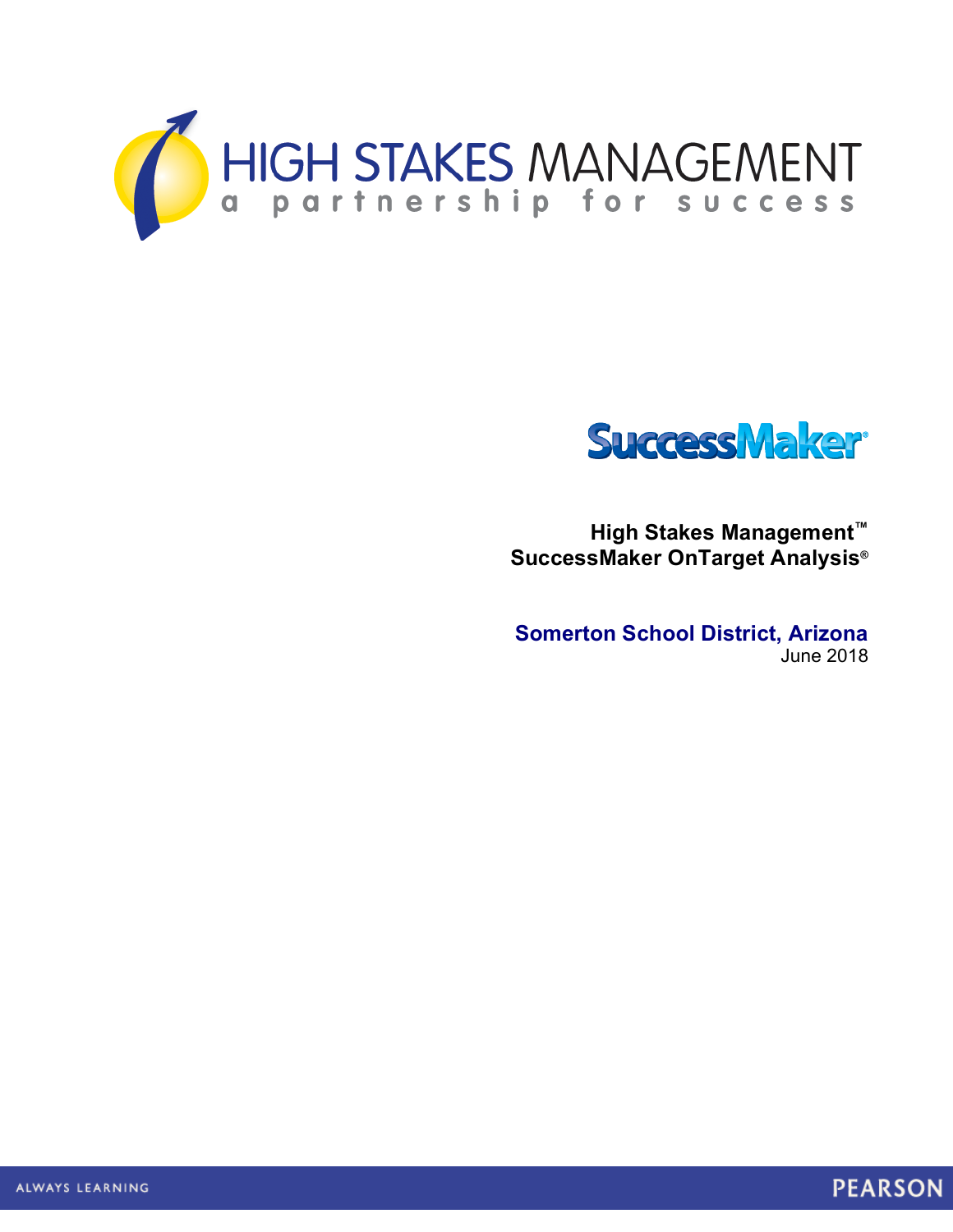



**High Stakes Management™ SuccessMaker OnTarget Analysis®** 

**Somerton School District, Arizona** June 2018

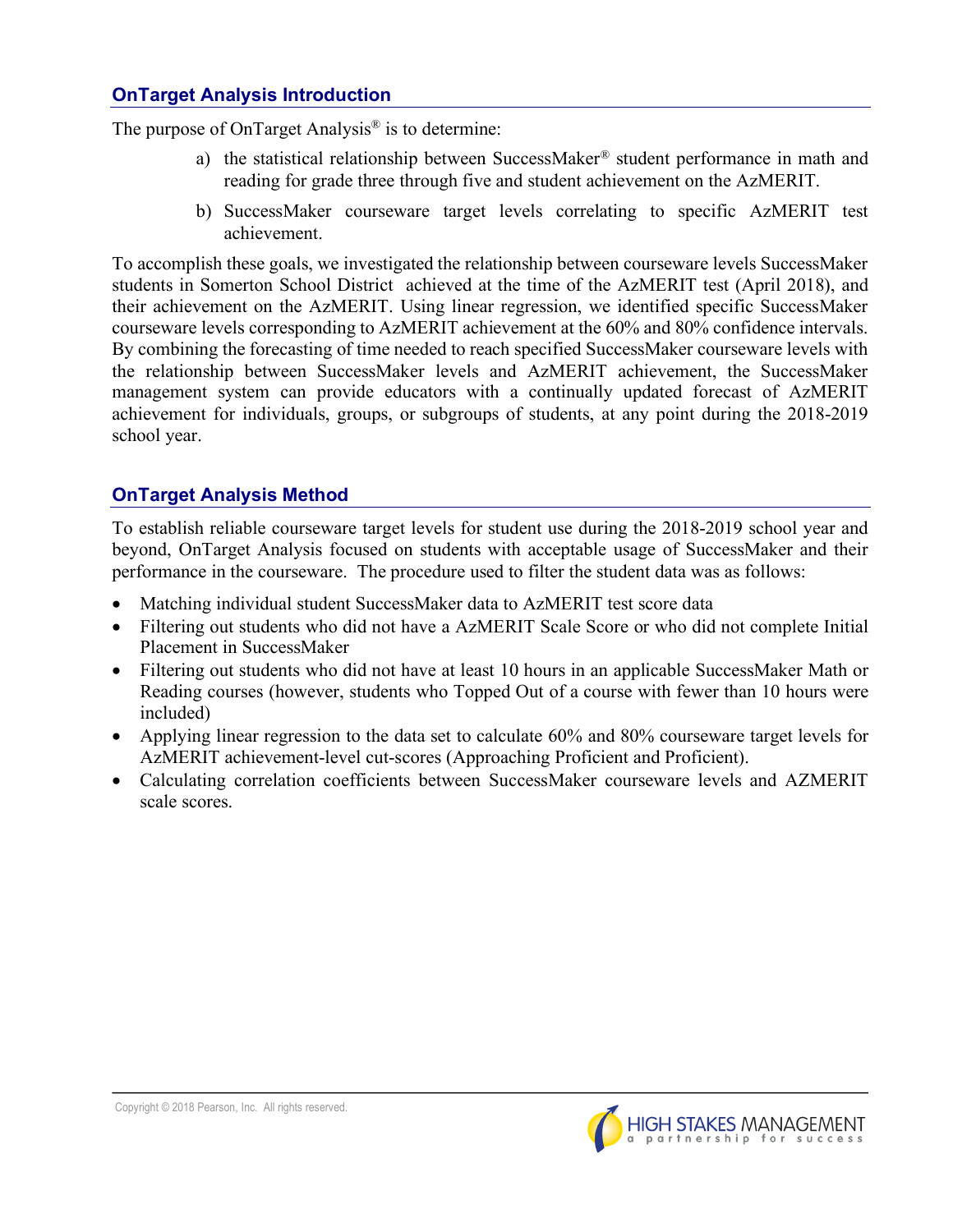# **OnTarget Analysis Introduction**

The purpose of OnTarget Analysis<sup>®</sup> is to determine:

- a) the statistical relationship between SuccessMaker® student performance in math and reading for grade three through five and student achievement on the AzMERIT.
- b) SuccessMaker courseware target levels correlating to specific AzMERIT test achievement.

To accomplish these goals, we investigated the relationship between courseware levels SuccessMaker students in Somerton School District achieved at the time of the AzMERIT test (April 2018), and their achievement on the AzMERIT. Using linear regression, we identified specific SuccessMaker courseware levels corresponding to AzMERIT achievement at the 60% and 80% confidence intervals. By combining the forecasting of time needed to reach specified SuccessMaker courseware levels with the relationship between SuccessMaker levels and AzMERIT achievement, the SuccessMaker management system can provide educators with a continually updated forecast of AzMERIT achievement for individuals, groups, or subgroups of students, at any point during the 2018-2019 school year.

# **OnTarget Analysis Method**

To establish reliable courseware target levels for student use during the 2018-2019 school year and beyond, OnTarget Analysis focused on students with acceptable usage of SuccessMaker and their performance in the courseware. The procedure used to filter the student data was as follows:

- Matching individual student SuccessMaker data to AzMERIT test score data
- Filtering out students who did not have a AzMERIT Scale Score or who did not complete Initial Placement in SuccessMaker
- Filtering out students who did not have at least 10 hours in an applicable SuccessMaker Math or Reading courses (however, students who Topped Out of a course with fewer than 10 hours were included)
- Applying linear regression to the data set to calculate 60% and 80% courseware target levels for AzMERIT achievement-level cut-scores (Approaching Proficient and Proficient).
- Calculating correlation coefficients between SuccessMaker courseware levels and AZMERIT scale scores.

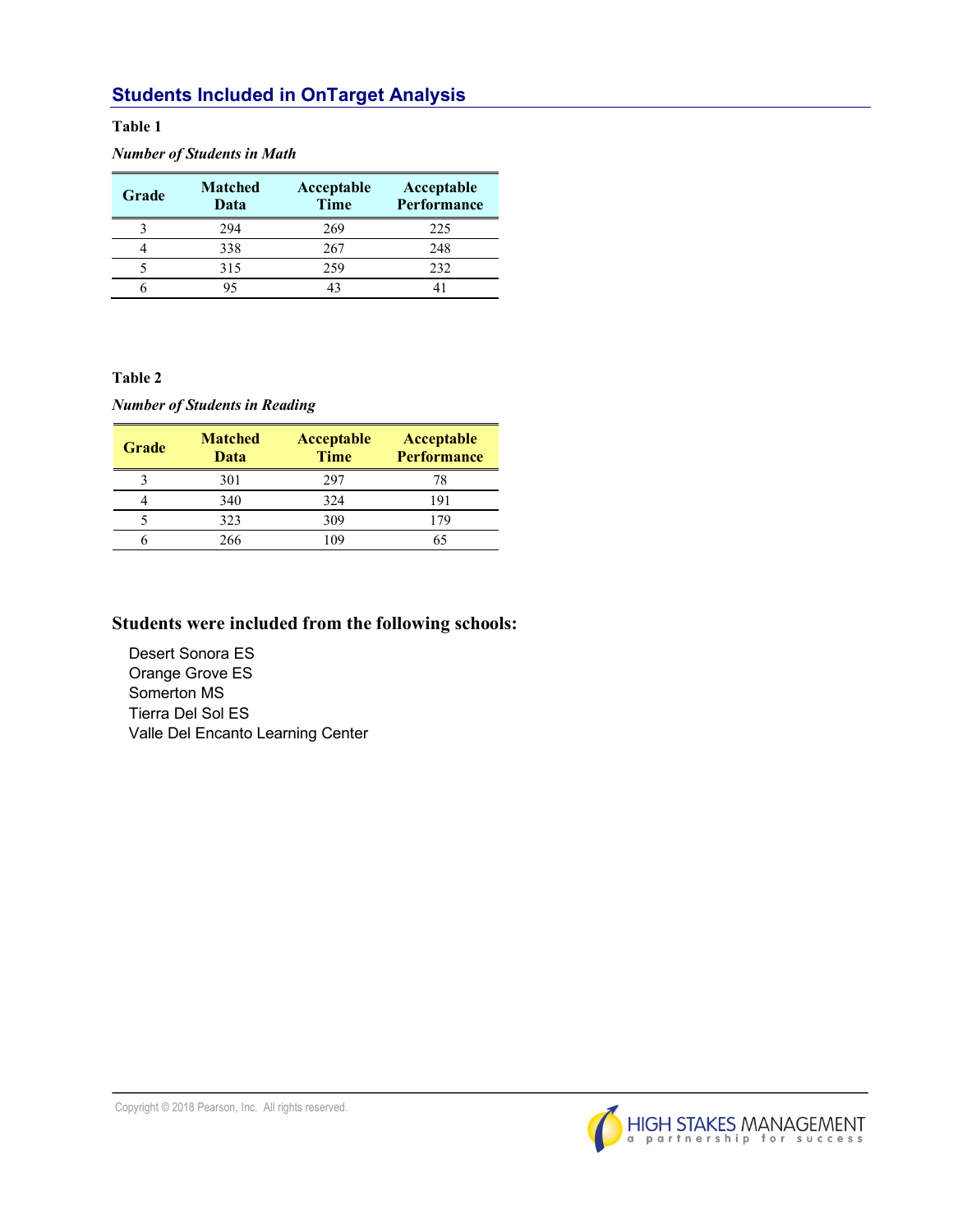## **Students Included in OnTarget Analysis**

**Table 1**

### *Number of Students in Math*

| Grade | <b>Matched</b><br>Data | Acceptable<br><b>Time</b> | Acceptable<br>Performance |
|-------|------------------------|---------------------------|---------------------------|
|       | 294                    | 269                       | 225                       |
|       | 338                    | 267                       | 248                       |
|       | 315                    | 259                       | 232                       |
|       |                        |                           |                           |

#### **Table 2**

|  |  | <b>Number of Students in Reading</b> |
|--|--|--------------------------------------|
|--|--|--------------------------------------|

| Grade | <b>Matched</b><br>Data | <b>Acceptable</b><br><b>Time</b> | Acceptable<br><b>Performance</b> |
|-------|------------------------|----------------------------------|----------------------------------|
|       | 301                    | 297                              | 78                               |
|       | 340                    | 324                              | 191                              |
|       | 323                    | 309                              | 179                              |
|       | 266                    | 09                               |                                  |

## **Students were included from the following schools:**

Desert Sonora ES Orange Grove ES Somerton MS Tierra Del Sol ES Valle Del Encanto Learning Center

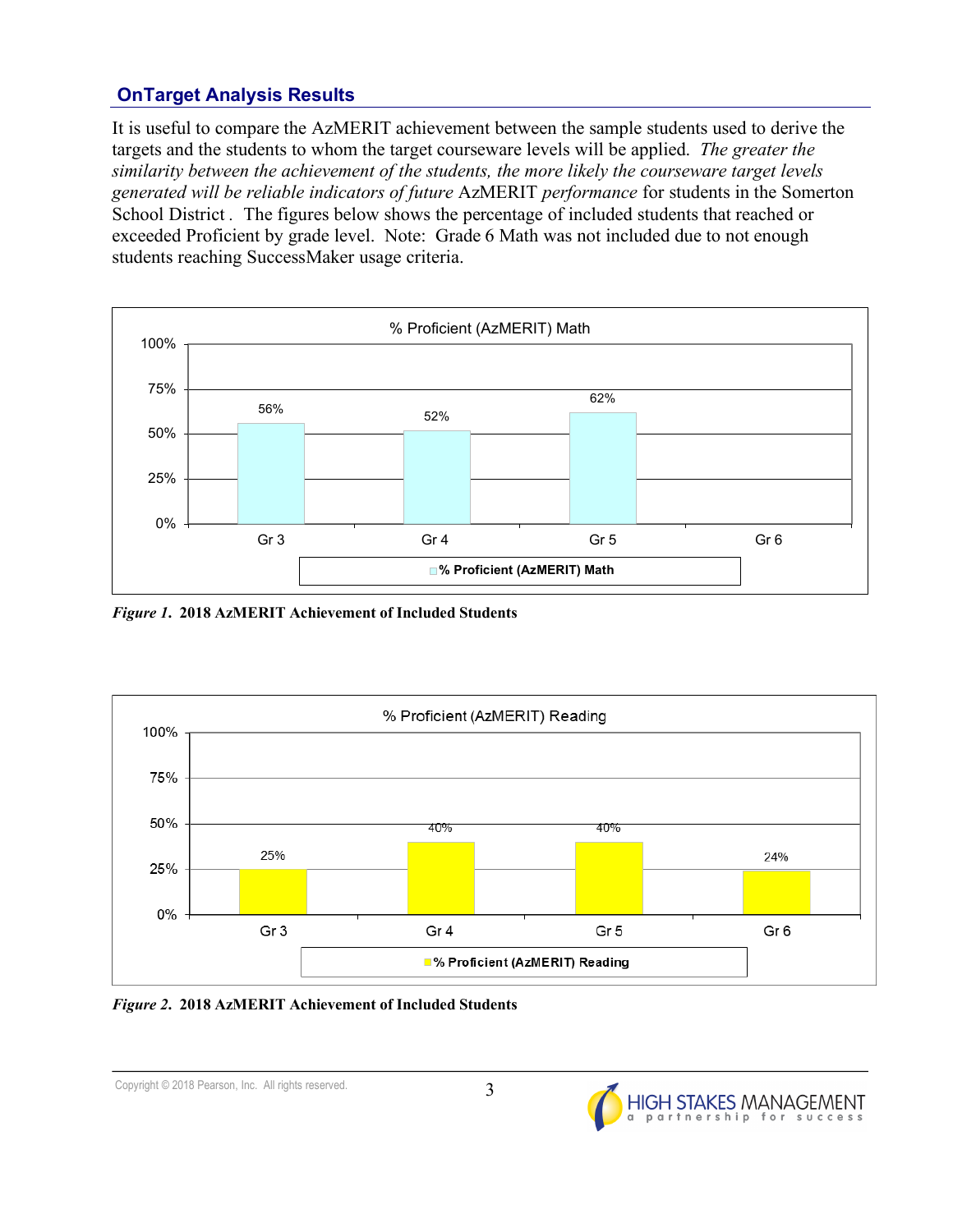# **OnTarget Analysis Results**

It is useful to compare the AzMERIT achievement between the sample students used to derive the targets and the students to whom the target courseware levels will be applied. *The greater the similarity between the achievement of the students, the more likely the courseware target levels generated will be reliable indicators of future* AzMERIT *performance* for students in the Somerton School District *.* The figures below shows the percentage of included students that reached or exceeded Proficient by grade level. Note: Grade 6 Math was not included due to not enough students reaching SuccessMaker usage criteria.



*Figure 1***. 2018 AzMERIT Achievement of Included Students**



*Figure 2***. 2018 AzMERIT Achievement of Included Students**

Copyright  $@$  2018 Pearson, Inc. All rights reserved.  $3$ 

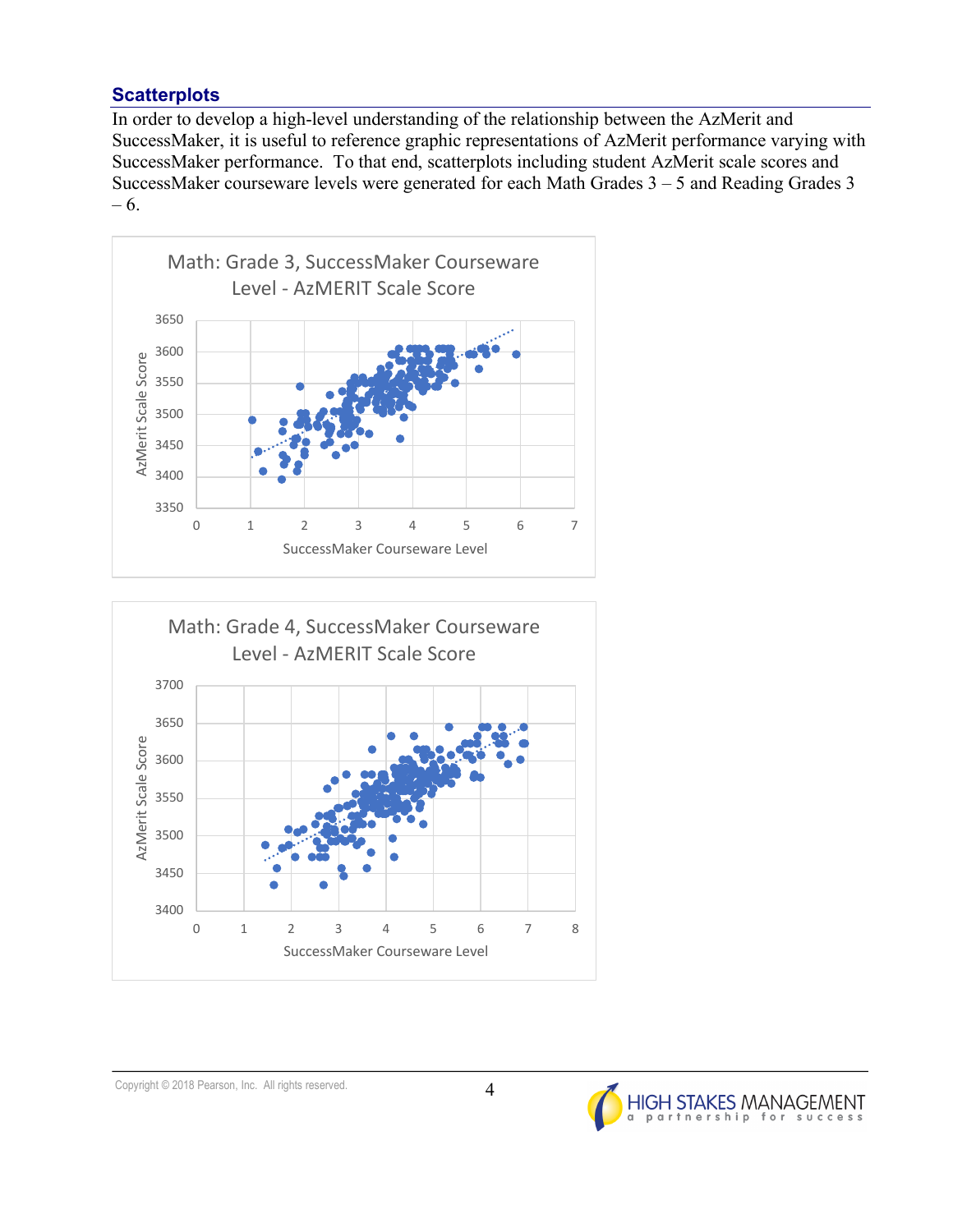## **Scatterplots**

In order to develop a high-level understanding of the relationship between the AzMerit and SuccessMaker, it is useful to reference graphic representations of AzMerit performance varying with SuccessMaker performance. To that end, scatterplots including student AzMerit scale scores and SuccessMaker courseware levels were generated for each Math Grades 3 – 5 and Reading Grades 3  $-6.$ 





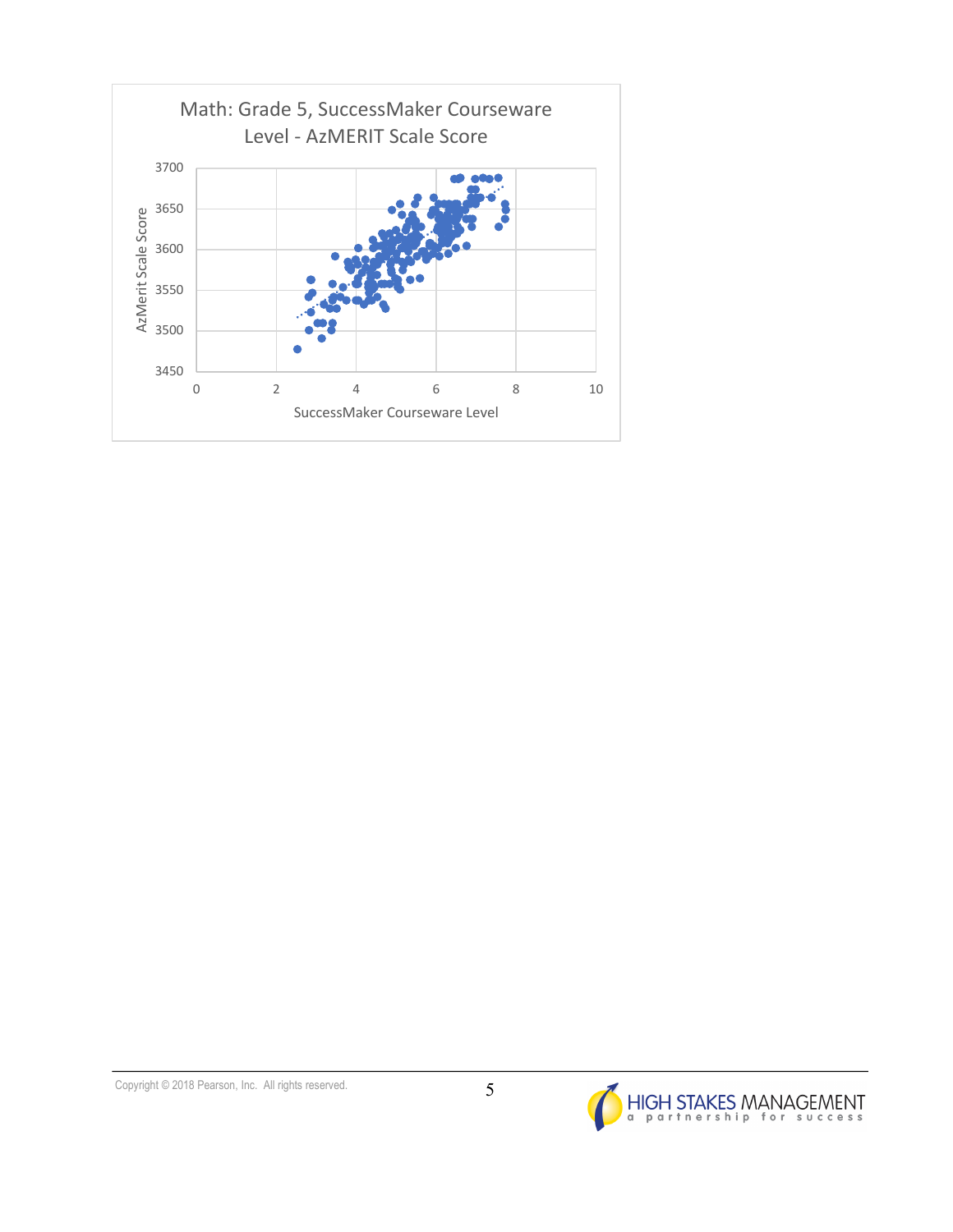

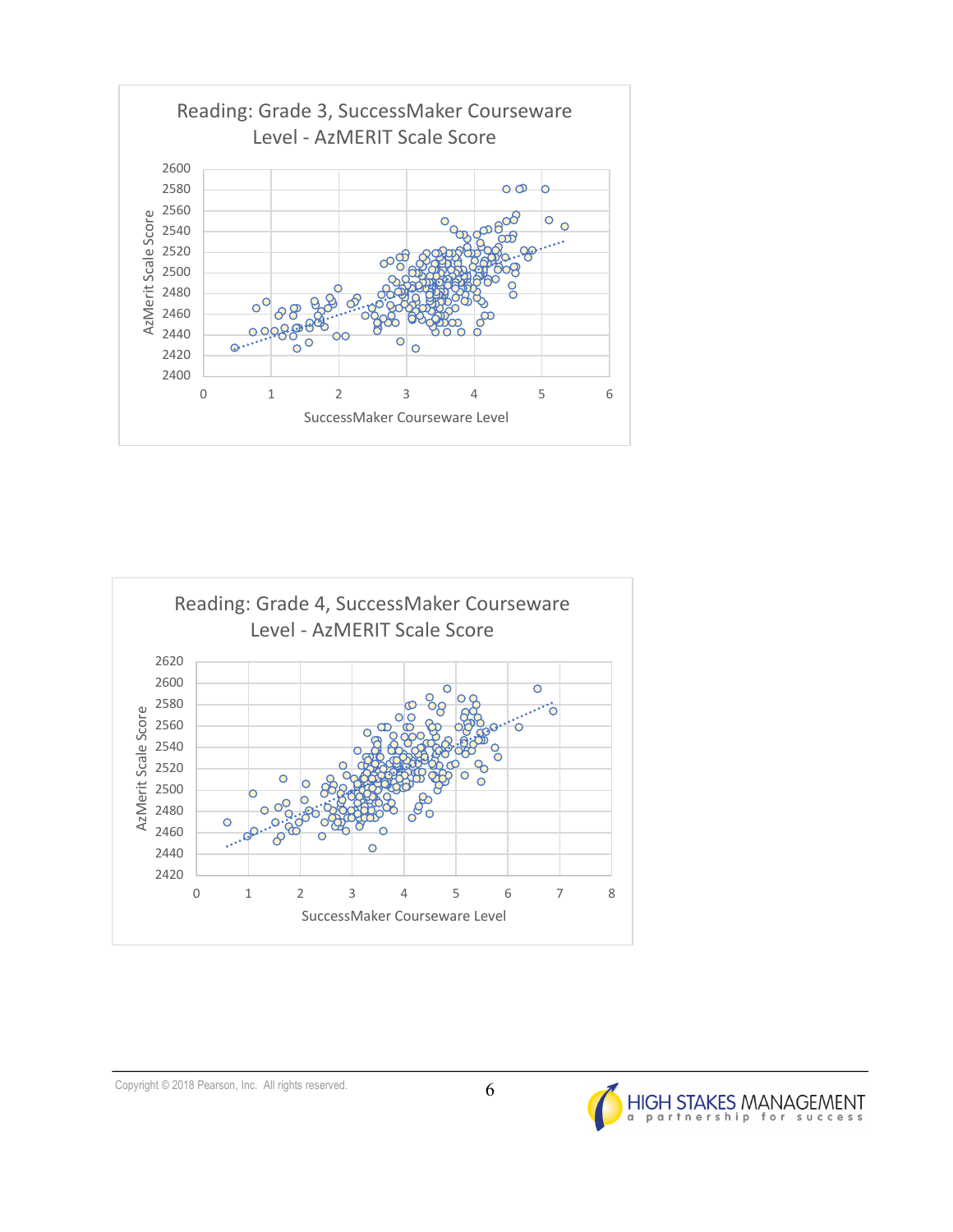



## Copyright  $\odot$  2018 Pearson, Inc. All rights reserved.  $\ddot{\mathbf{6}}$

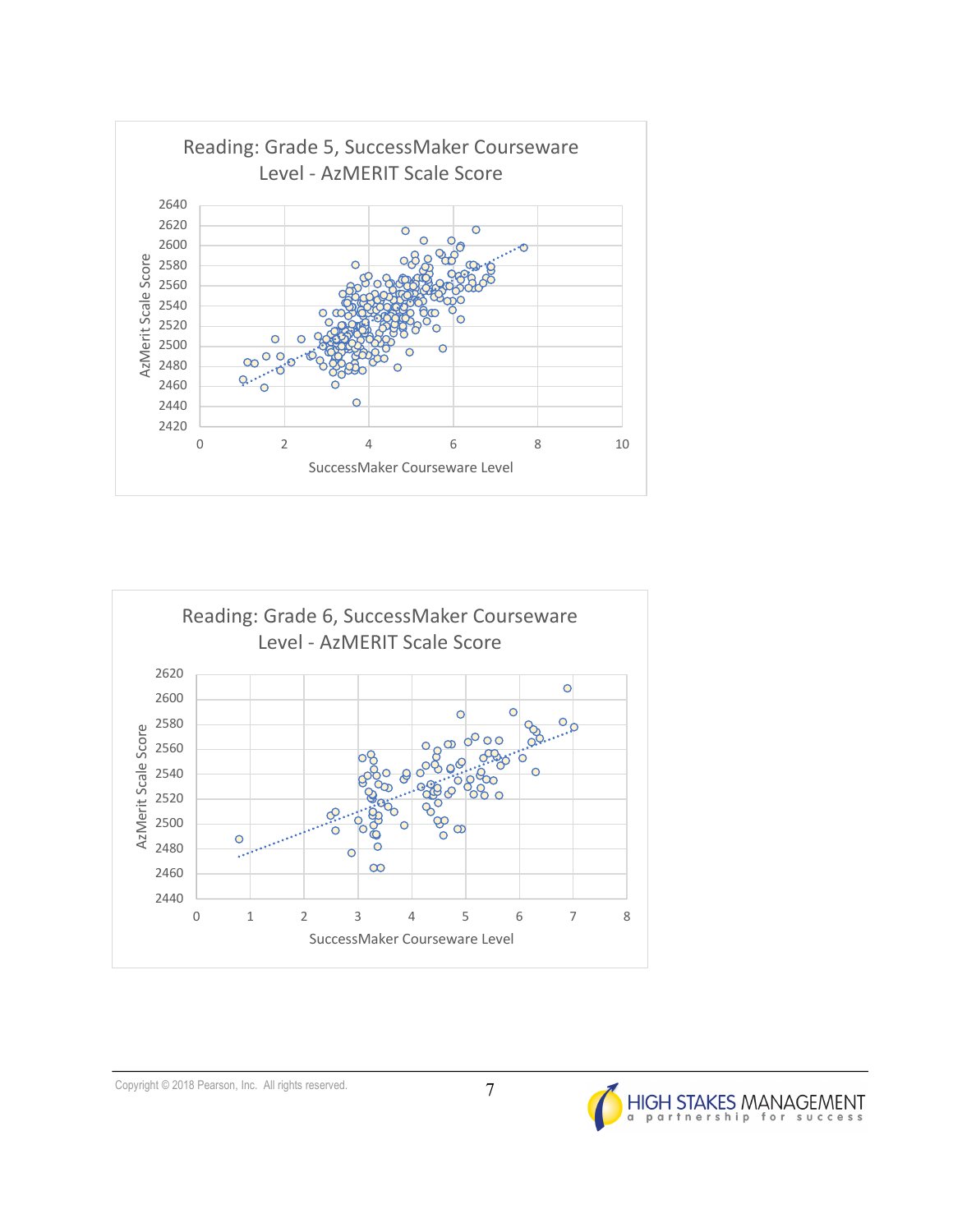



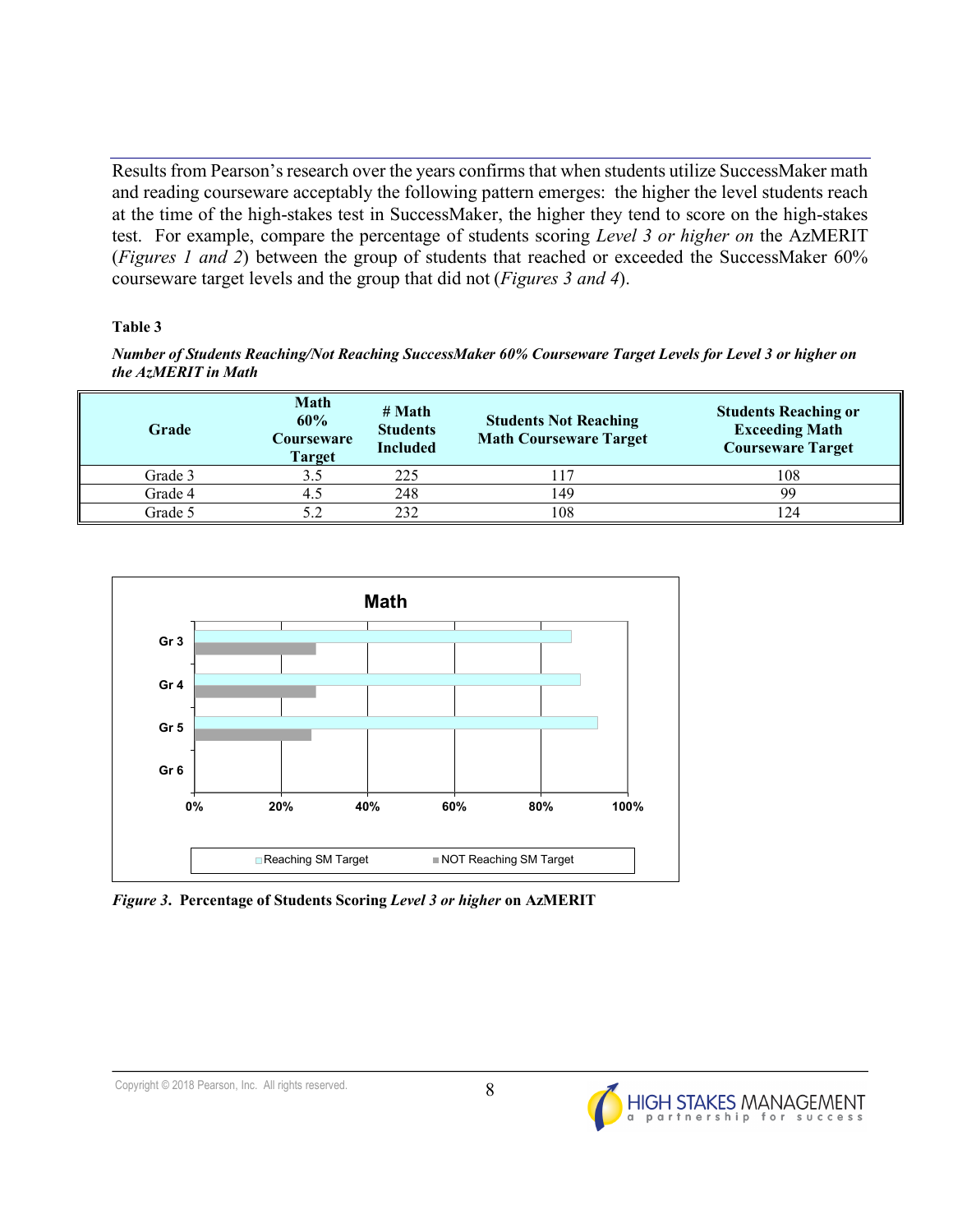Results from Pearson's research over the years confirms that when students utilize SuccessMaker math and reading courseware acceptably the following pattern emerges: the higher the level students reach at the time of the high-stakes test in SuccessMaker, the higher they tend to score on the high-stakes test. For example, compare the percentage of students scoring *Level 3 or higher on* the AzMERIT (*Figures 1 and 2*) between the group of students that reached or exceeded the SuccessMaker 60% courseware target levels and the group that did not (*Figures 3 and 4*).

## **Table 3**

*Number of Students Reaching/Not Reaching SuccessMaker 60% Courseware Target Levels for Level 3 or higher on the AzMERIT in Math*

| Grade   | Math<br>60%<br>Courseware<br><b>Target</b> | # Math<br><b>Students</b><br><b>Included</b> | <b>Students Not Reaching</b><br><b>Math Courseware Target</b> | <b>Students Reaching or</b><br><b>Exceeding Math</b><br><b>Courseware Target</b> |
|---------|--------------------------------------------|----------------------------------------------|---------------------------------------------------------------|----------------------------------------------------------------------------------|
| Grade 3 |                                            | 225                                          |                                                               | 108                                                                              |
| Grade 4 |                                            | 248                                          | 149                                                           | 99                                                                               |
| Grade 5 |                                            | 232                                          | 108                                                           | 124                                                                              |



*Figure 3***. Percentage of Students Scoring** *Level 3 or higher* **on AzMERIT**

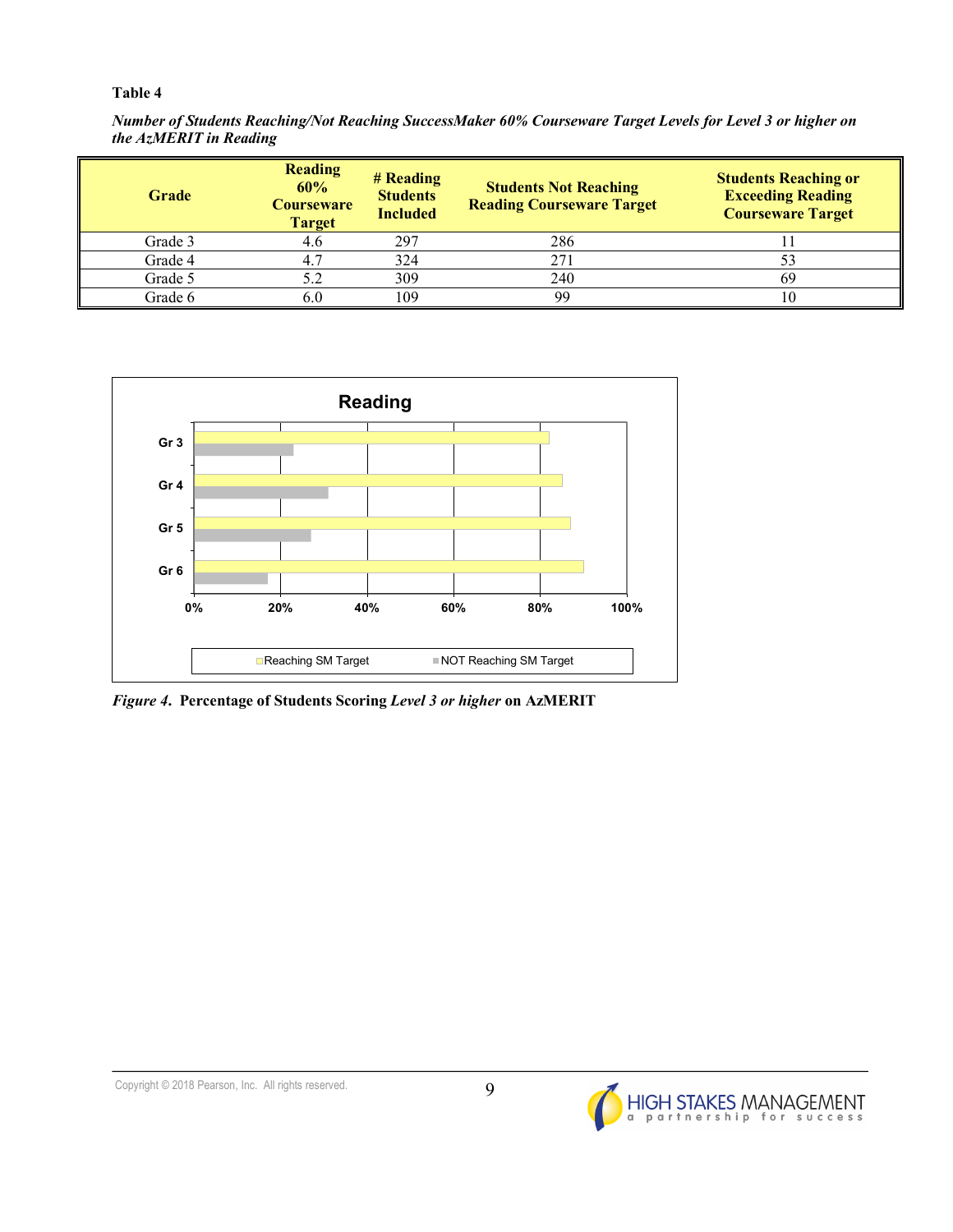**Table 4**

*Number of Students Reaching/Not Reaching SuccessMaker 60% Courseware Target Levels for Level 3 or higher on the AzMERIT in Reading*

| <b>Grade</b> | <b>Reading</b><br>60%<br><b>Courseware</b><br><b>Target</b> | # Reading<br><b>Students</b><br><b>Included</b> | <b>Students Not Reaching</b><br><b>Reading Courseware Target</b> | <b>Students Reaching or</b><br><b>Exceeding Reading</b><br><b>Courseware Target</b> |
|--------------|-------------------------------------------------------------|-------------------------------------------------|------------------------------------------------------------------|-------------------------------------------------------------------------------------|
| Grade 3      | 4.6                                                         | 297                                             | 286                                                              |                                                                                     |
| Grade 4      |                                                             | 324                                             | 271                                                              | 53                                                                                  |
| Grade 5      | 5.2                                                         | 309                                             | 240                                                              | 69                                                                                  |
| Grade 6      | 6.0                                                         | 109                                             | 99                                                               | 10                                                                                  |



*Figure 4***. Percentage of Students Scoring** *Level 3 or higher* **on AzMERIT**

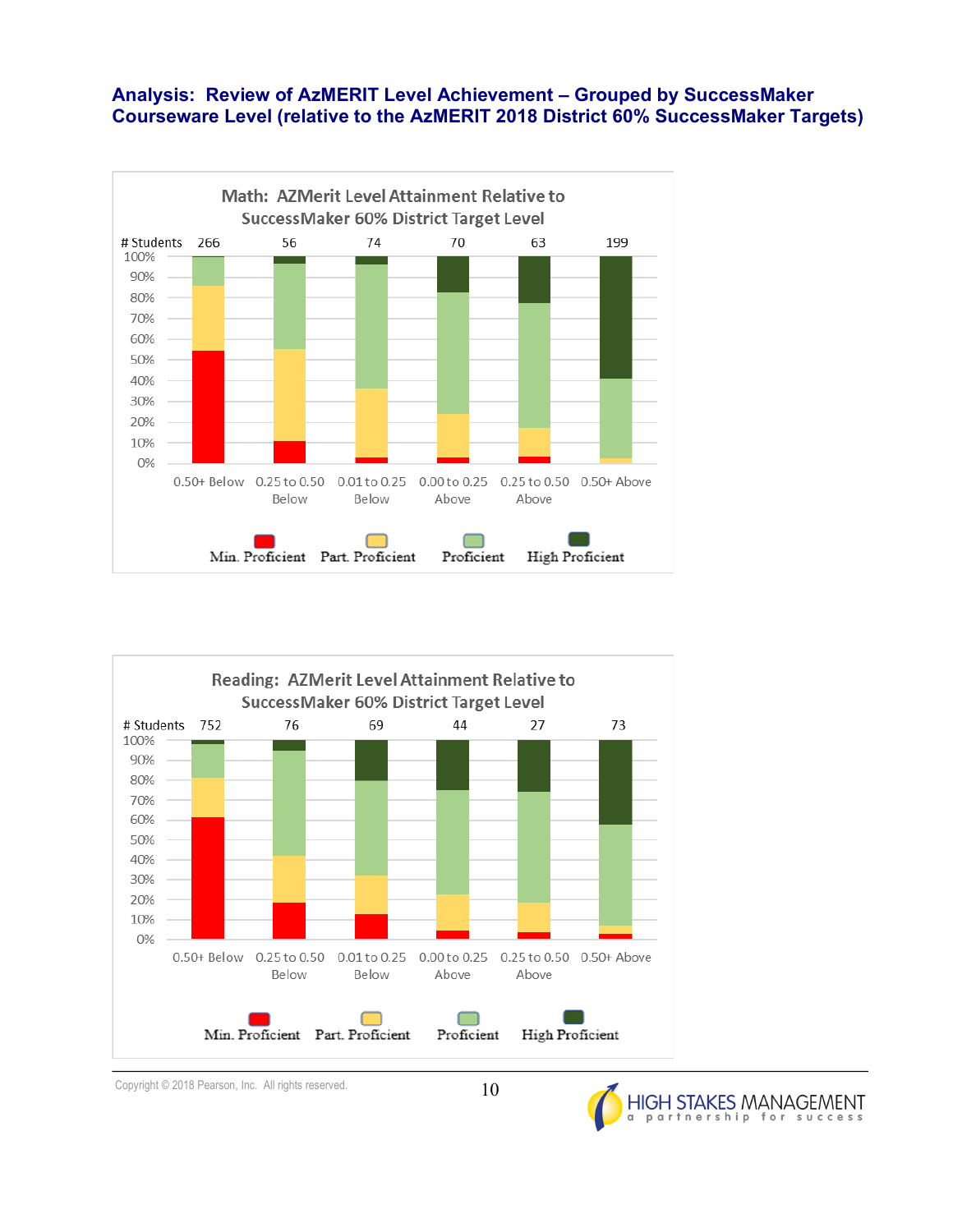## **Analysis: Review of AzMERIT Level Achievement – Grouped by SuccessMaker Courseware Level (relative to the AzMERIT 2018 District 60% SuccessMaker Targets)**





Copyright  $\odot$  2018 Pearson, Inc. All rights reserved.  $10$ 

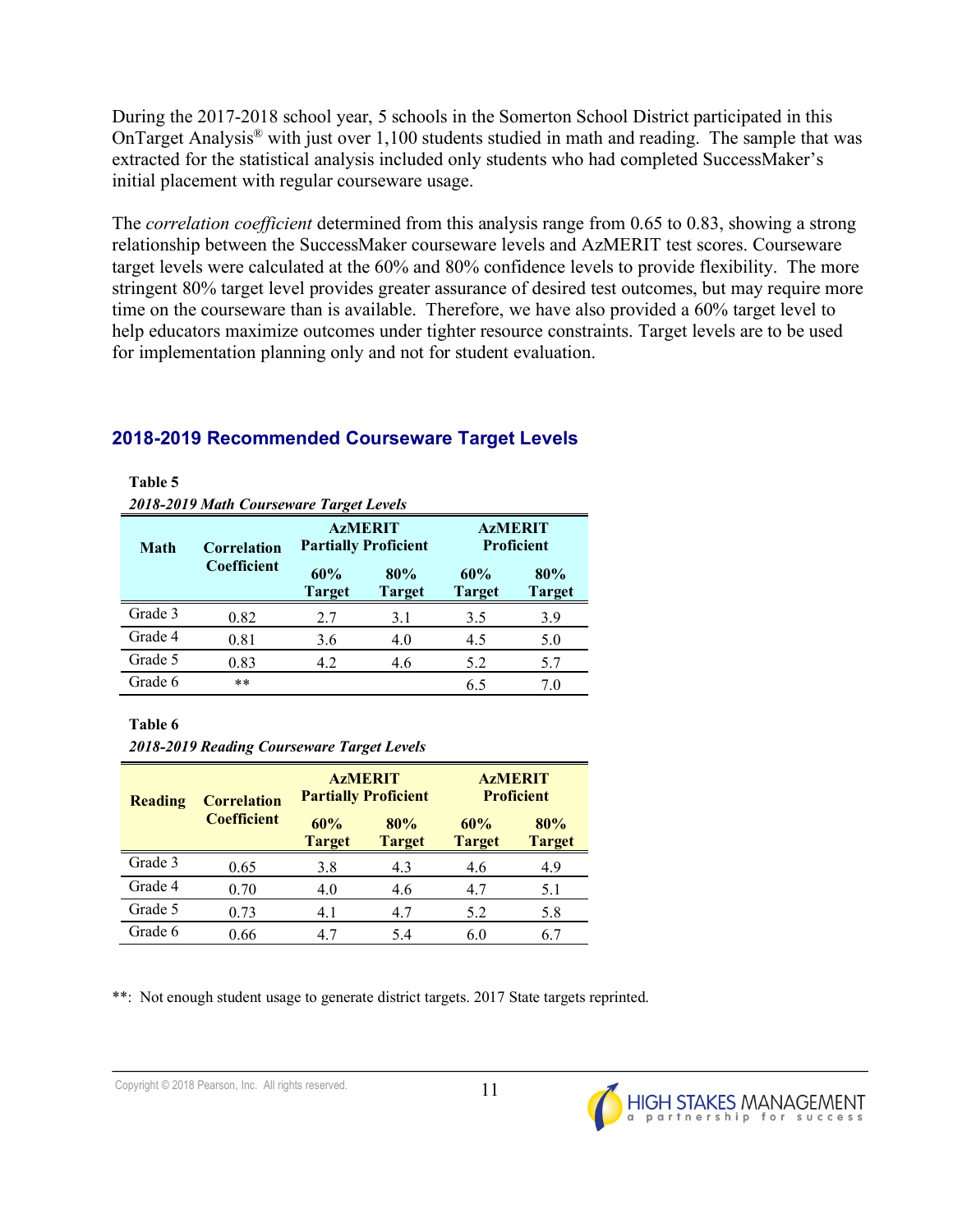During the 2017-2018 school year, 5 schools in the Somerton School District participated in this OnTarget Analysis® with just over 1,100 students studied in math and reading. The sample that was extracted for the statistical analysis included only students who had completed SuccessMaker's initial placement with regular courseware usage.

The *correlation coefficient* determined from this analysis range from 0.65 to 0.83, showing a strong relationship between the SuccessMaker courseware levels and AzMERIT test scores. Courseware target levels were calculated at the 60% and 80% confidence levels to provide flexibility. The more stringent 80% target level provides greater assurance of desired test outcomes, but may require more time on the courseware than is available. Therefore, we have also provided a 60% target level to help educators maximize outcomes under tighter resource constraints. Target levels are to be used for implementation planning only and not for student evaluation.

| 2018-2019 Math Courseware Target Levels |                                   |                      |                             |                                     |                      |  |  |  |
|-----------------------------------------|-----------------------------------|----------------------|-----------------------------|-------------------------------------|----------------------|--|--|--|
| Math                                    | <b>Correlation</b><br>Coefficient | <b>AzMERIT</b>       | <b>Partially Proficient</b> | <b>AzMERIT</b><br><b>Proficient</b> |                      |  |  |  |
|                                         |                                   | 60%<br><b>Target</b> | 80%<br><b>Target</b>        | 60%<br><b>Target</b>                | 80%<br><b>Target</b> |  |  |  |
| Grade 3                                 | 0.82                              | 2.7                  | 3.1                         | 3.5                                 | 3.9                  |  |  |  |
| Grade 4                                 | 0.81                              | 3.6                  | 4.0                         | 4.5                                 | 5.0                  |  |  |  |
| Grade 5                                 | 0.83                              | 4.2                  | 4.6                         | 5.2                                 | 5.7                  |  |  |  |
| Grade 6                                 | **                                |                      |                             | 6.5                                 | 7.0                  |  |  |  |

## **2018-2019 Recommended Courseware Target Levels**

#### **Table 6**

**Table 5**

*2018-2019 Reading Courseware Target Levels*

| <b>Reading</b> | <b>Correlation</b> |                      | <b>AzMERIT</b><br><b>Partially Proficient</b> | <b>AzMERIT</b><br><b>Proficient</b> |                      |
|----------------|--------------------|----------------------|-----------------------------------------------|-------------------------------------|----------------------|
|                | <b>Coefficient</b> | 60%<br><b>Target</b> | 80%<br><b>Target</b>                          | 60%<br><b>Target</b>                | 80%<br><b>Target</b> |
| Grade 3        | 0.65               | 3.8                  | 4.3                                           | 4.6                                 | 4.9                  |
| Grade 4        | 0.70               | 4.0                  | 4.6                                           | 4.7                                 | 5.1                  |
| Grade 5        | 0.73               | 4.1                  | 47                                            | 5.2                                 | 5.8                  |
| Grade 6        | 0.66               | 47                   | 54                                            | 60                                  | 67                   |

\*\*: Not enough student usage to generate district targets. 2017 State targets reprinted.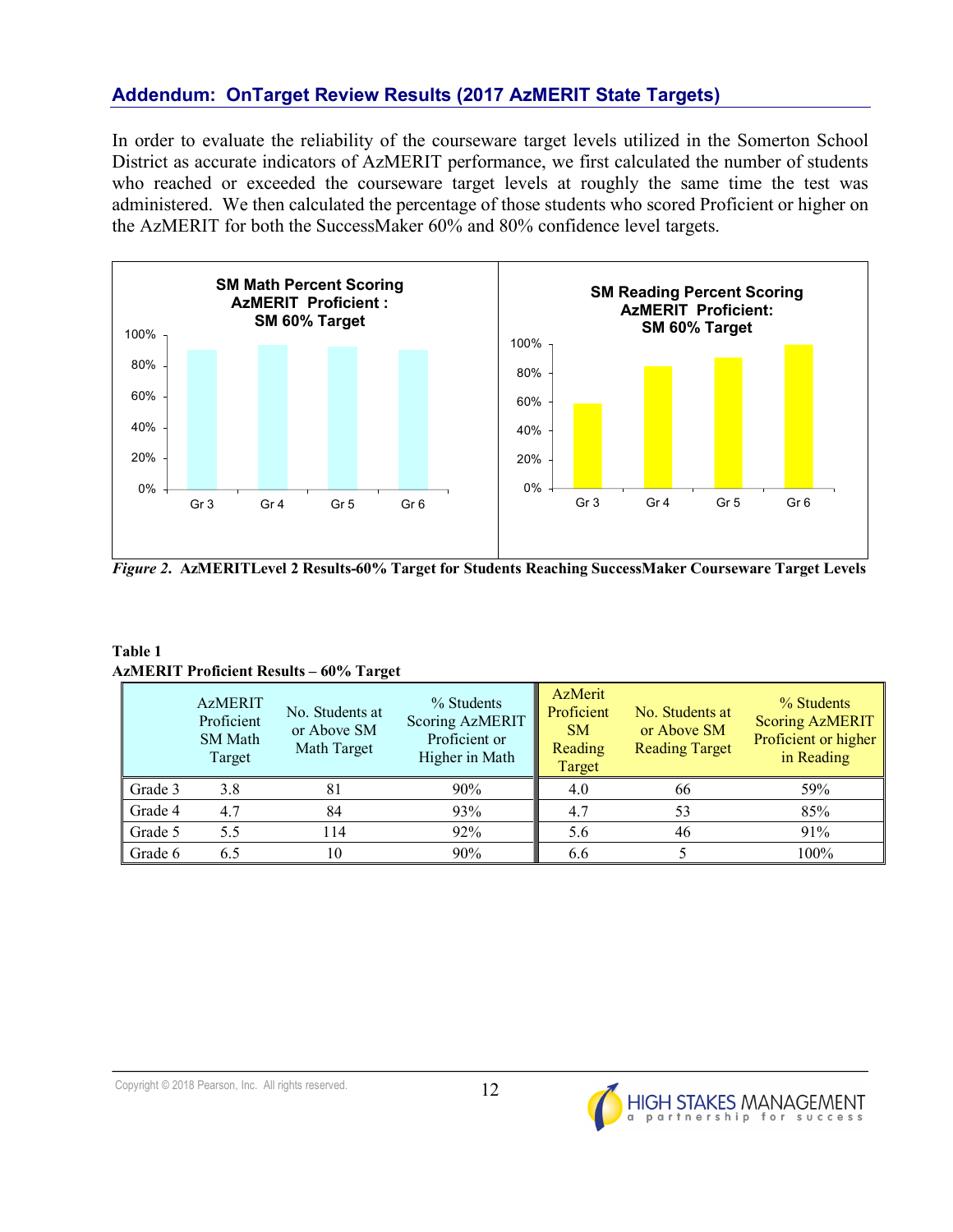## **Addendum: OnTarget Review Results (2017 AzMERIT State Targets)**

In order to evaluate the reliability of the courseware target levels utilized in the Somerton School District as accurate indicators of AzMERIT performance, we first calculated the number of students who reached or exceeded the courseware target levels at roughly the same time the test was administered. We then calculated the percentage of those students who scored Proficient or higher on the AzMERIT for both the SuccessMaker 60% and 80% confidence level targets.



*Figure 2***. AzMERITLevel 2 Results-60% Target for Students Reaching SuccessMaker Courseware Target Levels**

### **Table 1 AzMERIT Proficient Results – 60% Target**

|         | <b>AzMERIT</b><br>Proficient<br><b>SM Math</b><br>Target | No. Students at<br>or Above SM<br>Math Target | % Students<br>Scoring AzMERIT<br>Proficient or<br>Higher in Math | <b>AzMerit</b><br>Proficient<br><b>SM</b><br>Reading<br>Target | No. Students at<br>or Above SM<br><b>Reading Target</b> | % Students<br><b>Scoring AzMERIT</b><br>Proficient or higher<br>in Reading |
|---------|----------------------------------------------------------|-----------------------------------------------|------------------------------------------------------------------|----------------------------------------------------------------|---------------------------------------------------------|----------------------------------------------------------------------------|
| Grade 3 | 3.8                                                      | 81                                            | 90%                                                              | 4.0                                                            | 66                                                      | 59%                                                                        |
| Grade 4 | 4.7                                                      | 84                                            | 93%                                                              | 4.7                                                            | 53                                                      | 85%                                                                        |
| Grade 5 | 5.5                                                      | 114                                           | 92%                                                              | 5.6                                                            | 46                                                      | 91%                                                                        |
| Grade 6 | 6.5                                                      | 10                                            | 90%                                                              | 6.6                                                            |                                                         | 100%                                                                       |

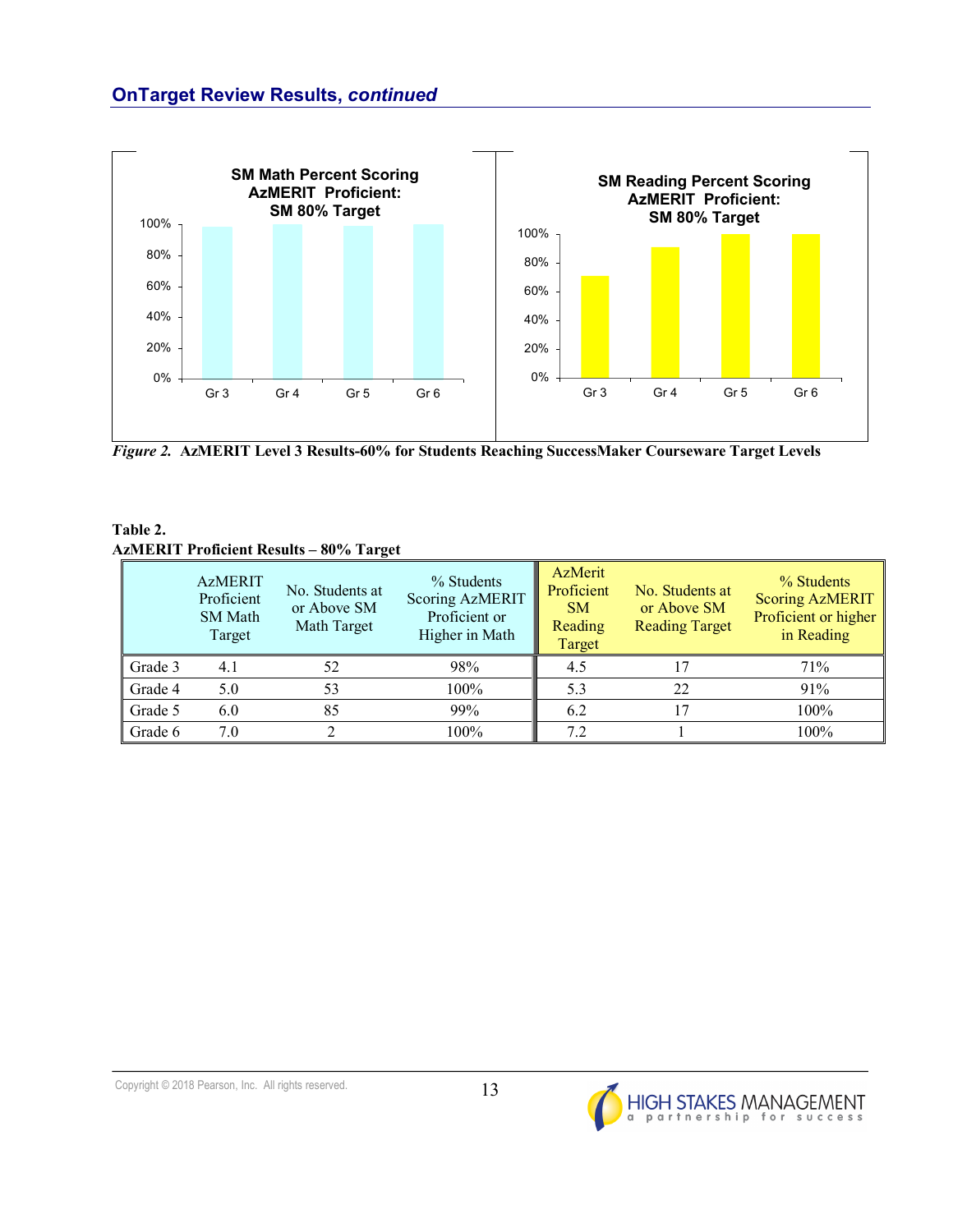

*Figure 2.* **AzMERIT Level 3 Results-60% for Students Reaching SuccessMaker Courseware Target Levels**

### **Table 2. AzMERIT Proficient Results – 80% Target**

|         | <b>AzMERIT</b><br>Proficient<br><b>SM Math</b><br>Target | No. Students at<br>or Above SM<br>Math Target | % Students<br><b>Scoring AzMERIT</b><br>Proficient or<br>Higher in Math | <b>AzMerit</b><br>Proficient<br><b>SM</b><br>Reading<br>Target | No. Students at<br>or Above SM<br><b>Reading Target</b> | % Students<br><b>Scoring AzMERIT</b><br>Proficient or higher<br>in Reading |
|---------|----------------------------------------------------------|-----------------------------------------------|-------------------------------------------------------------------------|----------------------------------------------------------------|---------------------------------------------------------|----------------------------------------------------------------------------|
| Grade 3 | 4.1                                                      | 52                                            | 98%                                                                     | 4.5                                                            |                                                         | 71%                                                                        |
| Grade 4 | 5.0                                                      | 53                                            | 100%                                                                    | 5.3                                                            | 22                                                      | 91%                                                                        |
| Grade 5 | 6.0                                                      | 85                                            | 99%                                                                     | 6.2                                                            |                                                         | 100%                                                                       |
| Grade 6 | 7.0                                                      |                                               | 100%                                                                    | 7.2                                                            |                                                         | 100%                                                                       |

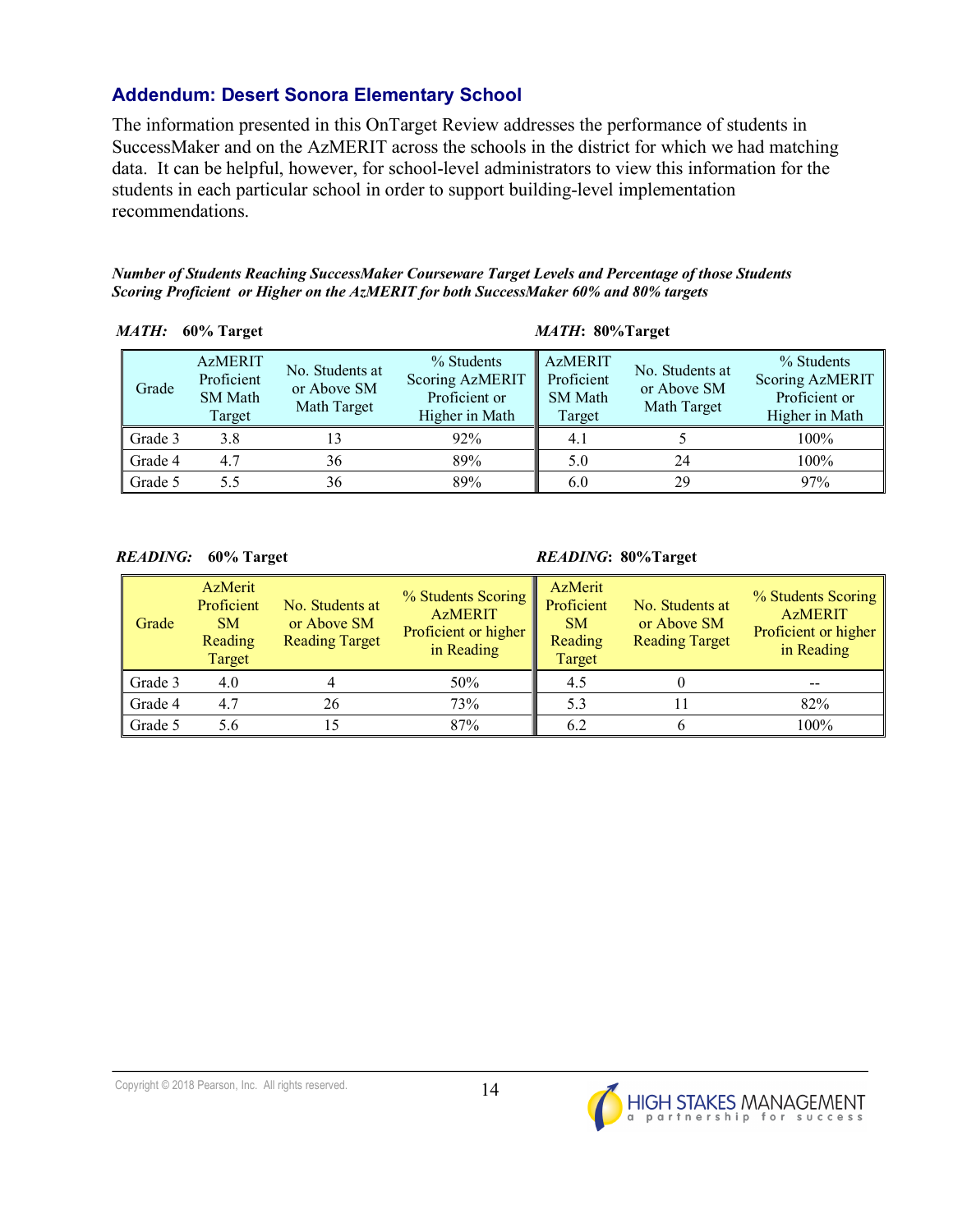# **Addendum: Desert Sonora Elementary School**

The information presented in this OnTarget Review addresses the performance of students in SuccessMaker and on the AzMERIT across the schools in the district for which we had matching data. It can be helpful, however, for school-level administrators to view this information for the students in each particular school in order to support building-level implementation recommendations.

*Number of Students Reaching SuccessMaker Courseware Target Levels and Percentage of those Students Scoring Proficient or Higher on the AzMERIT for both SuccessMaker 60% and 80% targets*

|         | MATH: 60% Target                                         |                                               |                                                                  | MATH: 80%Target                                          |                                               |                                                                         |
|---------|----------------------------------------------------------|-----------------------------------------------|------------------------------------------------------------------|----------------------------------------------------------|-----------------------------------------------|-------------------------------------------------------------------------|
| Grade   | <b>AzMERIT</b><br>Proficient<br><b>SM Math</b><br>Target | No. Students at<br>or Above SM<br>Math Target | % Students<br>Scoring AzMERIT<br>Proficient or<br>Higher in Math | <b>AzMERIT</b><br>Proficient<br><b>SM Math</b><br>Target | No. Students at<br>or Above SM<br>Math Target | % Students<br><b>Scoring AzMERIT</b><br>Proficient or<br>Higher in Math |
| Grade 3 | 3.8                                                      |                                               | 92%                                                              | 4.1                                                      |                                               | $100\%$                                                                 |
| Grade 4 | 4.7                                                      | 36                                            | 89%                                                              | 5.0                                                      | 24                                            | 100%                                                                    |
| Grade 5 | 5.5                                                      | 36                                            | 89%                                                              | 6.0                                                      | 29                                            | 97%                                                                     |

| Grade   | <b>AzMerit</b><br>Proficient<br><b>SM</b><br>Reading<br>Target | No. Students at<br>or Above SM<br><b>Reading Target</b> | % Students Scoring<br><b>AzMERIT</b><br>Proficient or higher<br>in Reading | AzMerit<br>Proficient<br><b>SM</b><br>Reading<br>Target | No. Students at<br>or Above SM<br><b>Reading Target</b> | % Students Scoring<br><b>AzMERIT</b><br>Proficient or higher<br>in Reading |
|---------|----------------------------------------------------------------|---------------------------------------------------------|----------------------------------------------------------------------------|---------------------------------------------------------|---------------------------------------------------------|----------------------------------------------------------------------------|
| Grade 3 | 4.0                                                            |                                                         | 50%                                                                        | 4.5                                                     |                                                         |                                                                            |
| Grade 4 | 4.7                                                            | 26                                                      | 73%                                                                        | 5.3                                                     |                                                         | 82%                                                                        |
| Grade 5 | 5.6                                                            |                                                         | 87%                                                                        | 6.2                                                     |                                                         | 100%                                                                       |

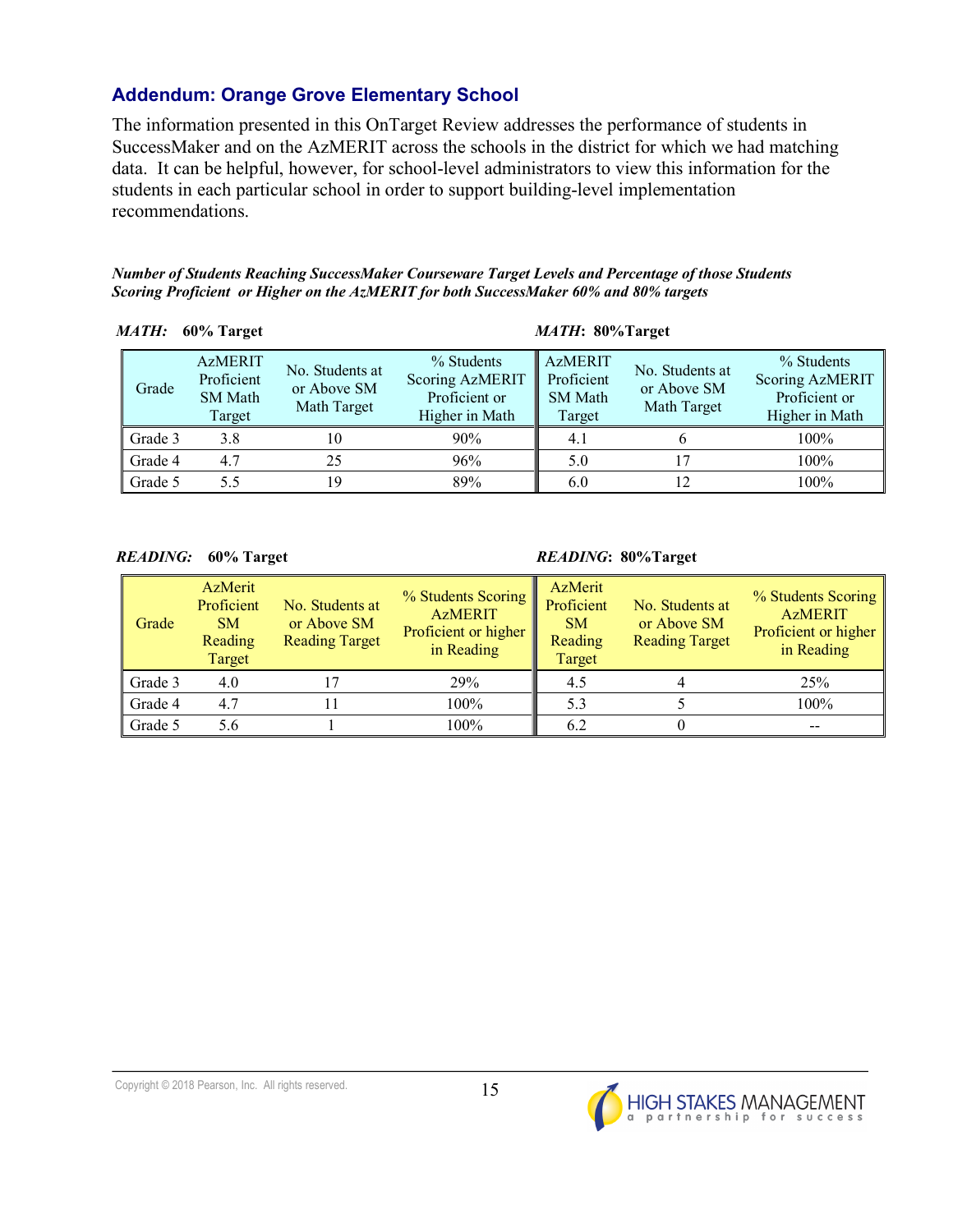# **Addendum: Orange Grove Elementary School**

The information presented in this OnTarget Review addresses the performance of students in SuccessMaker and on the AzMERIT across the schools in the district for which we had matching data. It can be helpful, however, for school-level administrators to view this information for the students in each particular school in order to support building-level implementation recommendations.

*Number of Students Reaching SuccessMaker Courseware Target Levels and Percentage of those Students Scoring Proficient or Higher on the AzMERIT for both SuccessMaker 60% and 80% targets*

|         | MATH: 60% Target                                         |                                               |                                                                  | MATH: 80%Target                                          |                                               |                                                                         |
|---------|----------------------------------------------------------|-----------------------------------------------|------------------------------------------------------------------|----------------------------------------------------------|-----------------------------------------------|-------------------------------------------------------------------------|
| Grade   | <b>AzMERIT</b><br>Proficient<br><b>SM Math</b><br>Target | No. Students at<br>or Above SM<br>Math Target | % Students<br>Scoring AzMERIT<br>Proficient or<br>Higher in Math | <b>AzMERIT</b><br>Proficient<br><b>SM Math</b><br>Target | No. Students at<br>or Above SM<br>Math Target | % Students<br><b>Scoring AzMERIT</b><br>Proficient or<br>Higher in Math |
| Grade 3 | 3.8                                                      | 10                                            | 90%                                                              | 4.1                                                      |                                               | $100\%$                                                                 |
| Grade 4 | 4.7                                                      | 25                                            | 96%                                                              | 5.0                                                      |                                               | 100%                                                                    |
| Grade 5 | 5.5                                                      | 19                                            | 89%                                                              | 6.0                                                      | ۱C)                                           | 100%                                                                    |

| Grade   | <b>AzMerit</b><br>Proficient<br><b>SM</b><br>Reading<br>Target | No. Students at<br>or Above SM<br><b>Reading Target</b> | % Students Scoring<br><b>AzMERIT</b><br>Proficient or higher<br>in Reading | <b>AzMerit</b><br>Proficient<br><b>SM</b><br>Reading<br>Target | No. Students at<br>or Above SM<br><b>Reading Target</b> | % Students Scoring<br><b>AzMERIT</b><br>Proficient or higher<br>in Reading |
|---------|----------------------------------------------------------------|---------------------------------------------------------|----------------------------------------------------------------------------|----------------------------------------------------------------|---------------------------------------------------------|----------------------------------------------------------------------------|
| Grade 3 | 4.0                                                            |                                                         | 29%                                                                        | 4.5                                                            |                                                         | 25%                                                                        |
| Grade 4 | 4.7                                                            |                                                         | 100%                                                                       | 5.3                                                            |                                                         | 100%                                                                       |
| Grade 5 | 5.6                                                            |                                                         | 100%                                                                       | 6.2                                                            |                                                         |                                                                            |

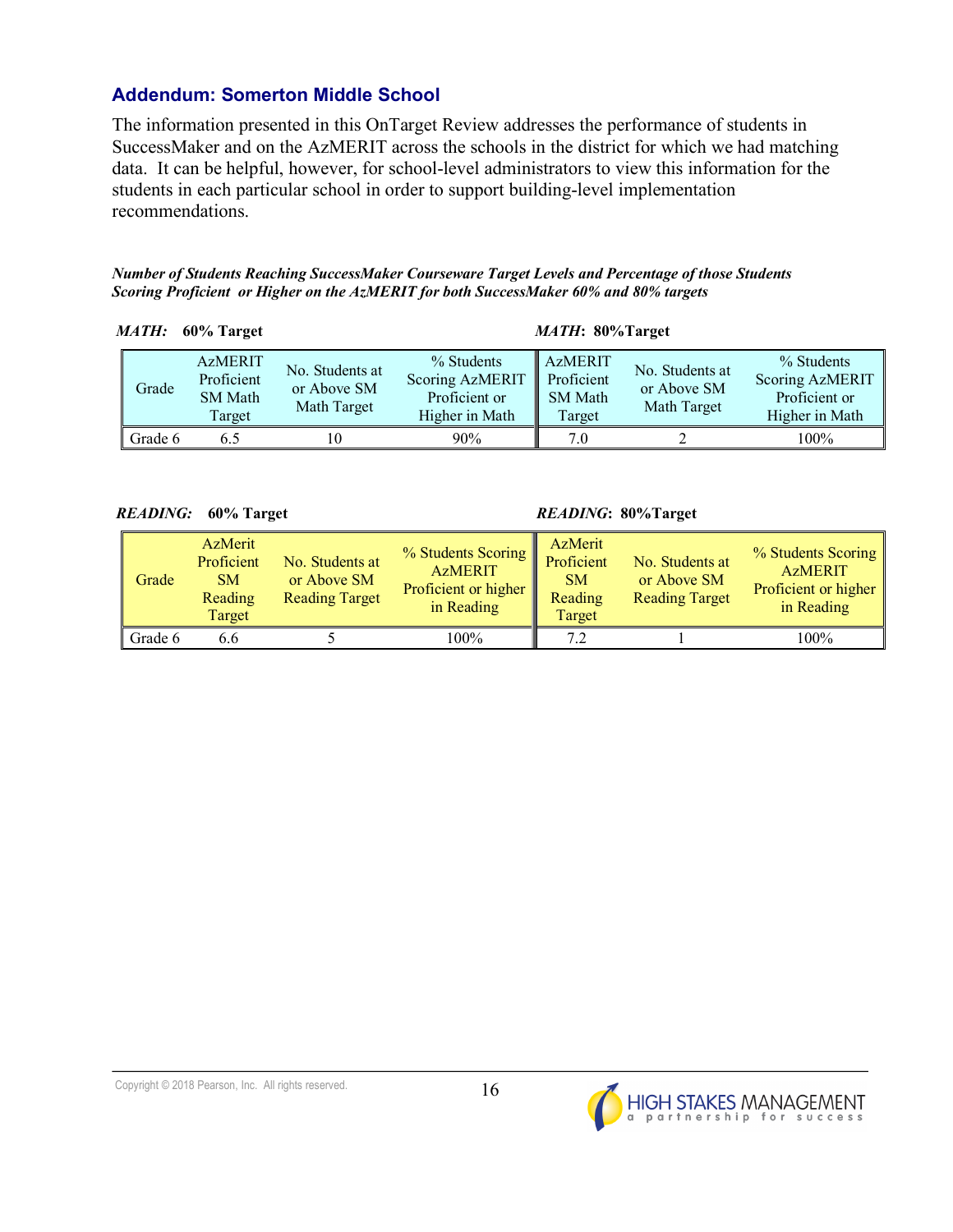## **Addendum: Somerton Middle School**

The information presented in this OnTarget Review addresses the performance of students in SuccessMaker and on the AzMERIT across the schools in the district for which we had matching data. It can be helpful, however, for school-level administrators to view this information for the students in each particular school in order to support building-level implementation recommendations.

*Number of Students Reaching SuccessMaker Courseware Target Levels and Percentage of those Students Scoring Proficient or Higher on the AzMERIT for both SuccessMaker 60% and 80% targets*

|         | MATH: 60% Target                                         |                                               |                                                                  | MATH: 80% Target                                         |                                               |                                                                         |
|---------|----------------------------------------------------------|-----------------------------------------------|------------------------------------------------------------------|----------------------------------------------------------|-----------------------------------------------|-------------------------------------------------------------------------|
| Grade   | <b>AzMERIT</b><br>Proficient<br><b>SM Math</b><br>Target | No. Students at<br>or Above SM<br>Math Target | % Students<br>Scoring AzMERIT<br>Proficient or<br>Higher in Math | <b>AzMERIT</b><br>Proficient<br><b>SM Math</b><br>Target | No. Students at<br>or Above SM<br>Math Target | % Students<br><b>Scoring AzMERIT</b><br>Proficient or<br>Higher in Math |
| Grade 6 | 6.5                                                      |                                               | 90%                                                              | 7.0                                                      |                                               | 100%                                                                    |

| Grade   | AzMerit<br>Proficient<br><b>SM</b><br>Reading<br>Target | No. Students at<br>or Above SM<br><b>Reading Target</b> | % Students Scoring<br><b>AzMERIT</b><br>Proficient or higher<br>in Reading | <b>AzMerit</b><br>Proficient<br><b>SM</b><br>Reading<br>Target | No. Students at<br>or Above SM<br><b>Reading Target</b> | % Students Scoring<br><b>AzMERIT</b><br>Proficient or higher<br>in Reading |
|---------|---------------------------------------------------------|---------------------------------------------------------|----------------------------------------------------------------------------|----------------------------------------------------------------|---------------------------------------------------------|----------------------------------------------------------------------------|
| Grade 6 | 6.6                                                     |                                                         | $100\%$                                                                    | 7.2                                                            |                                                         | 100%                                                                       |

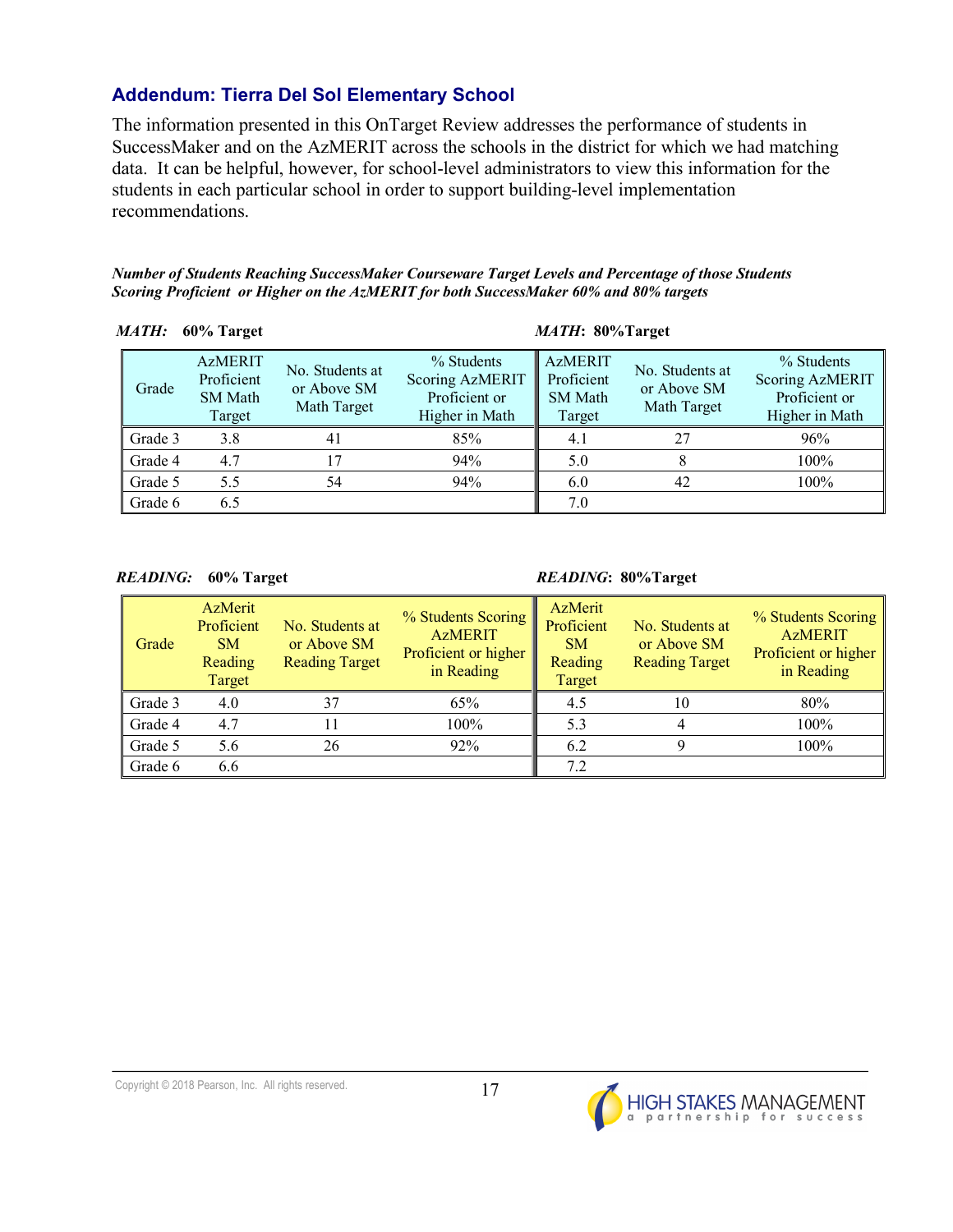# **Addendum: Tierra Del Sol Elementary School**

The information presented in this OnTarget Review addresses the performance of students in SuccessMaker and on the AzMERIT across the schools in the district for which we had matching data. It can be helpful, however, for school-level administrators to view this information for the students in each particular school in order to support building-level implementation recommendations.

*Number of Students Reaching SuccessMaker Courseware Target Levels and Percentage of those Students Scoring Proficient or Higher on the AzMERIT for both SuccessMaker 60% and 80% targets*

|         | MATH: 60% Target                                         |                                               |                                                                  | MATH: 80%Target                                          |                                               |                                                                         |
|---------|----------------------------------------------------------|-----------------------------------------------|------------------------------------------------------------------|----------------------------------------------------------|-----------------------------------------------|-------------------------------------------------------------------------|
| Grade   | <b>AzMERIT</b><br>Proficient<br><b>SM Math</b><br>Target | No. Students at<br>or Above SM<br>Math Target | % Students<br>Scoring AzMERIT<br>Proficient or<br>Higher in Math | <b>AzMERIT</b><br>Proficient<br><b>SM Math</b><br>Target | No. Students at<br>or Above SM<br>Math Target | % Students<br><b>Scoring AzMERIT</b><br>Proficient or<br>Higher in Math |
| Grade 3 | 3.8                                                      | 41                                            | 85%                                                              | 4.1                                                      | 27                                            | 96%                                                                     |
| Grade 4 | 4.7                                                      |                                               | 94%                                                              | 5.0                                                      |                                               | 100%                                                                    |
| Grade 5 | 5.5                                                      | 54                                            | 94%                                                              | 6.0                                                      | 42                                            | 100%                                                                    |
| Grade 6 | 6.5                                                      |                                               |                                                                  | 7.0                                                      |                                               |                                                                         |

| Grade   | <b>AzMerit</b><br>Proficient<br><b>SM</b><br>Reading<br>Target | No. Students at<br>or Above SM<br><b>Reading Target</b> | % Students Scoring<br><b>AzMERIT</b><br>Proficient or higher<br>in Reading | AzMerit<br>Proficient<br><b>SM</b><br>Reading<br>Target | No. Students at<br>or Above SM<br><b>Reading Target</b> | % Students Scoring<br><b>AzMERIT</b><br>Proficient or higher<br>in Reading |
|---------|----------------------------------------------------------------|---------------------------------------------------------|----------------------------------------------------------------------------|---------------------------------------------------------|---------------------------------------------------------|----------------------------------------------------------------------------|
| Grade 3 | 4.0                                                            | 37                                                      | 65%                                                                        | 4.5                                                     | 10                                                      | 80%                                                                        |
| Grade 4 | 4.7                                                            | 11                                                      | 100%                                                                       | 5.3                                                     |                                                         | 100%                                                                       |
| Grade 5 | 5.6                                                            | 26                                                      | 92%                                                                        | 6.2                                                     |                                                         | 100%                                                                       |
| Grade 6 | 6.6                                                            |                                                         |                                                                            | 7.2                                                     |                                                         |                                                                            |